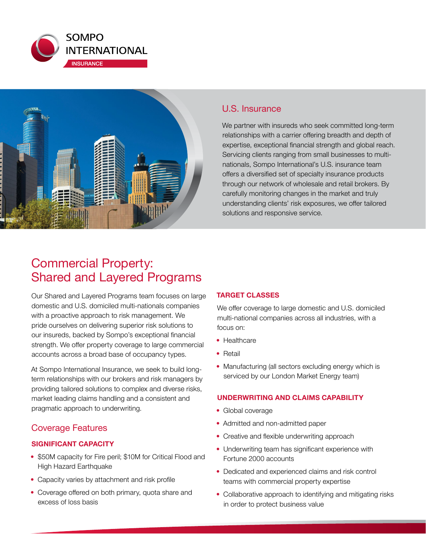



## U.S. Insurance

We partner with insureds who seek committed long-term relationships with a carrier offering breadth and depth of expertise, exceptional financial strength and global reach. Servicing clients ranging from small businesses to multinationals, Sompo International's U.S. insurance team offers a diversified set of specialty insurance products through our network of wholesale and retail brokers. By carefully monitoring changes in the market and truly understanding clients' risk exposures, we offer tailored solutions and responsive service.

# Commercial Property: Shared and Layered Programs

Our Shared and Layered Programs team focuses on large domestic and U.S. domiciled multi-nationals companies with a proactive approach to risk management. We pride ourselves on delivering superior risk solutions to our insureds, backed by Sompo's exceptional financial strength. We offer property coverage to large commercial accounts across a broad base of occupancy types.

At Sompo International Insurance, we seek to build longterm relationships with our brokers and risk managers by providing tailored solutions to complex and diverse risks, market leading claims handling and a consistent and pragmatic approach to underwriting.

# Coverage Features

## **SIGNIFICANT CAPACITY**

- \$50M capacity for Fire peril; \$10M for Critical Flood and High Hazard Earthquake
- Capacity varies by attachment and risk profile
- Coverage offered on both primary, quota share and excess of loss basis

## **TARGET CLASSES**

We offer coverage to large domestic and U.S. domiciled multi-national companies across all industries, with a focus on:

- Healthcare
- Retail
- Manufacturing (all sectors excluding energy which is serviced by our London Market Energy team)

## **UNDERWRITING AND CLAIMS CAPABILITY**

- Global coverage
- Admitted and non-admitted paper
- Creative and flexible underwriting approach
- Underwriting team has significant experience with Fortune 2000 accounts
- Dedicated and experienced claims and risk control teams with commercial property expertise
- Collaborative approach to identifying and mitigating risks in order to protect business value